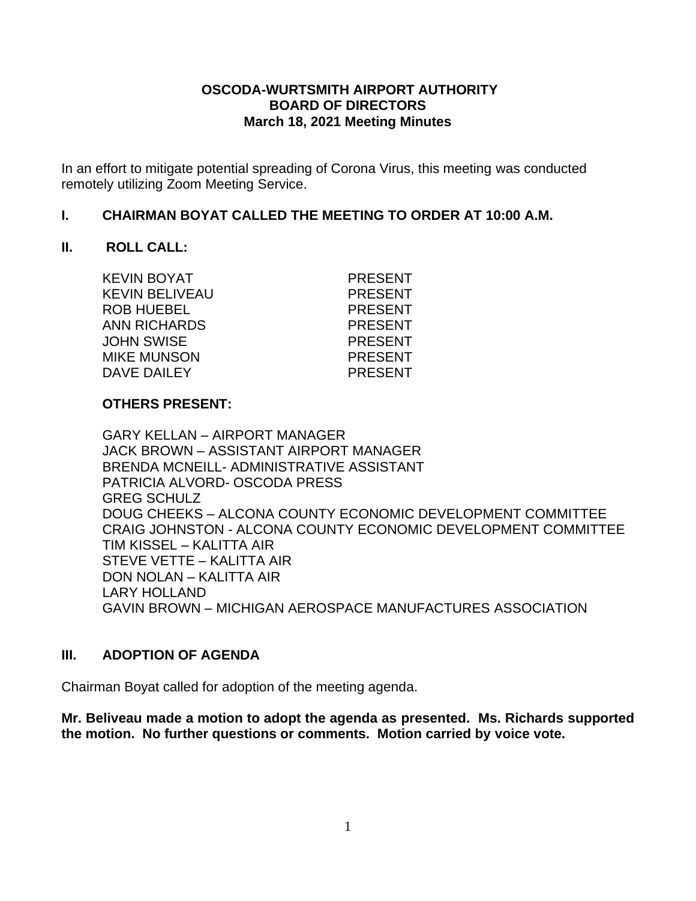#### **OSCODA-WURTSMITH AIRPORT AUTHORITY BOARD OF DIRECTORS March 18, 2021 Meeting Minutes**

In an effort to mitigate potential spreading of Corona Virus, this meeting was conducted remotely utilizing Zoom Meeting Service.

#### **I. CHAIRMAN BOYAT CALLED THE MEETING TO ORDER AT 10:00 A.M.**

#### **II. ROLL CALL:**

KEVIN BOYAT PRESENT KEVIN BELIVEAU **ELITEAU PRESENT** ROB HUEBEL PRESENT ANN RICHARDS PRESENT JOHN SWISE PRESENT MIKE MUNSON PRESENT DAVE DAILEY PRESENT

#### **OTHERS PRESENT:**

GARY KELLAN – AIRPORT MANAGER JACK BROWN – ASSISTANT AIRPORT MANAGER BRENDA MCNEILL- ADMINISTRATIVE ASSISTANT PATRICIA ALVORD- OSCODA PRESS GREG SCHULZ DOUG CHEEKS – ALCONA COUNTY ECONOMIC DEVELOPMENT COMMITTEE CRAIG JOHNSTON - ALCONA COUNTY ECONOMIC DEVELOPMENT COMMITTEE TIM KISSEL – KALITTA AIR STEVE VETTE – KALITTA AIR DON NOLAN – KALITTA AIR LARY HOLLAND GAVIN BROWN – MICHIGAN AEROSPACE MANUFACTURES ASSOCIATION

#### **III. ADOPTION OF AGENDA**

Chairman Boyat called for adoption of the meeting agenda.

**Mr. Beliveau made a motion to adopt the agenda as presented. Ms. Richards supported the motion. No further questions or comments. Motion carried by voice vote.**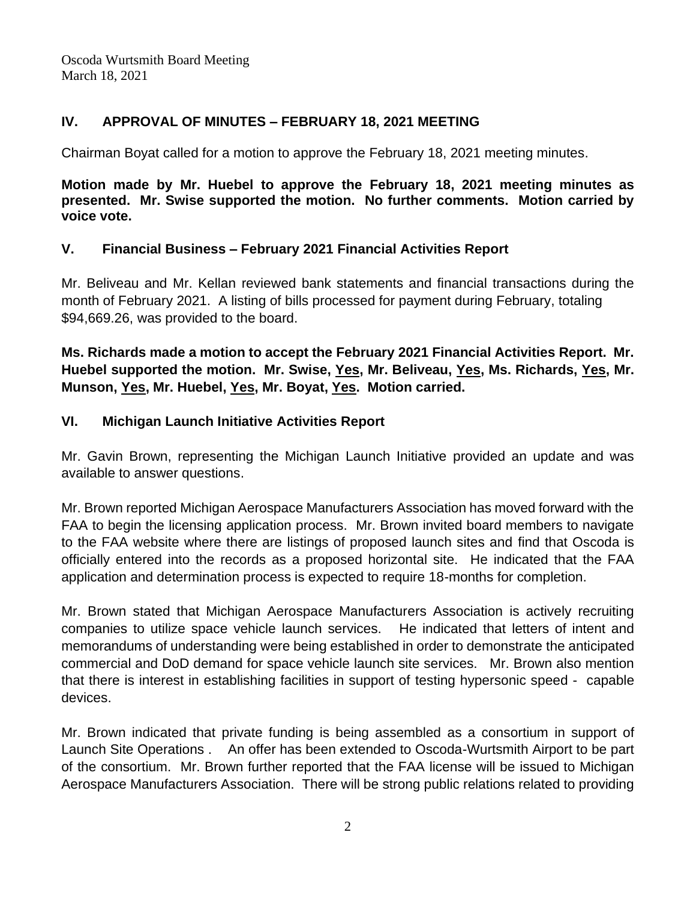# **IV. APPROVAL OF MINUTES – FEBRUARY 18, 2021 MEETING**

Chairman Boyat called for a motion to approve the February 18, 2021 meeting minutes.

**Motion made by Mr. Huebel to approve the February 18, 2021 meeting minutes as presented. Mr. Swise supported the motion. No further comments. Motion carried by voice vote.**

### **V. Financial Business – February 2021 Financial Activities Report**

Mr. Beliveau and Mr. Kellan reviewed bank statements and financial transactions during the month of February 2021. A listing of bills processed for payment during February, totaling \$94,669.26, was provided to the board.

**Ms. Richards made a motion to accept the February 2021 Financial Activities Report. Mr. Huebel supported the motion. Mr. Swise, Yes, Mr. Beliveau, Yes, Ms. Richards, Yes, Mr. Munson, Yes, Mr. Huebel, Yes, Mr. Boyat, Yes. Motion carried.**

### **VI. Michigan Launch Initiative Activities Report**

Mr. Gavin Brown, representing the Michigan Launch Initiative provided an update and was available to answer questions.

Mr. Brown reported Michigan Aerospace Manufacturers Association has moved forward with the FAA to begin the licensing application process. Mr. Brown invited board members to navigate to the FAA website where there are listings of proposed launch sites and find that Oscoda is officially entered into the records as a proposed horizontal site. He indicated that the FAA application and determination process is expected to require 18-months for completion.

Mr. Brown stated that Michigan Aerospace Manufacturers Association is actively recruiting companies to utilize space vehicle launch services. He indicated that letters of intent and memorandums of understanding were being established in order to demonstrate the anticipated commercial and DoD demand for space vehicle launch site services. Mr. Brown also mention that there is interest in establishing facilities in support of testing hypersonic speed - capable devices.

Mr. Brown indicated that private funding is being assembled as a consortium in support of Launch Site Operations . An offer has been extended to Oscoda-Wurtsmith Airport to be part of the consortium. Mr. Brown further reported that the FAA license will be issued to Michigan Aerospace Manufacturers Association. There will be strong public relations related to providing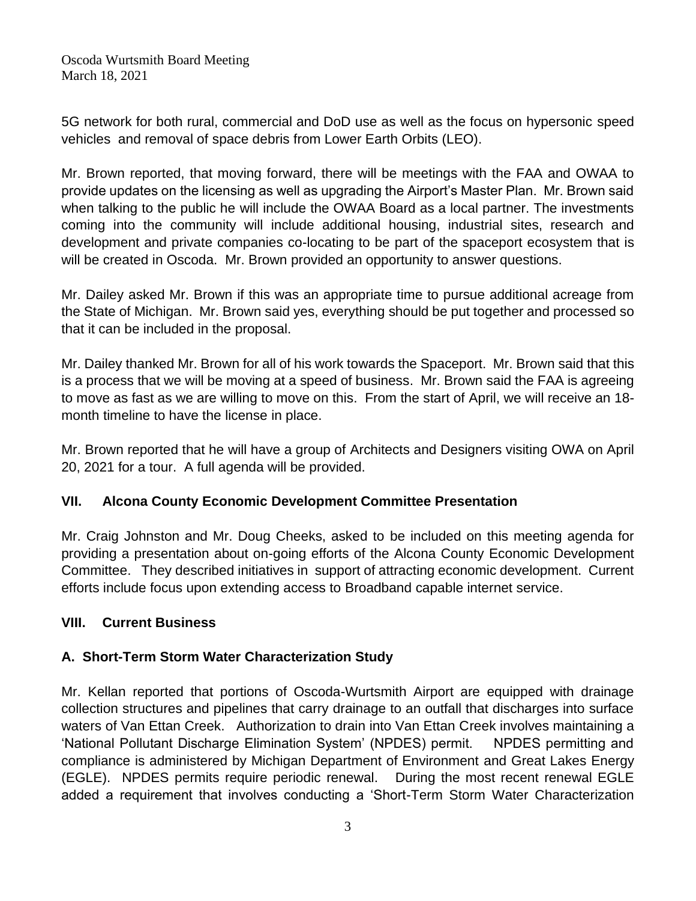5G network for both rural, commercial and DoD use as well as the focus on hypersonic speed vehicles and removal of space debris from Lower Earth Orbits (LEO).

Mr. Brown reported, that moving forward, there will be meetings with the FAA and OWAA to provide updates on the licensing as well as upgrading the Airport's Master Plan. Mr. Brown said when talking to the public he will include the OWAA Board as a local partner. The investments coming into the community will include additional housing, industrial sites, research and development and private companies co-locating to be part of the spaceport ecosystem that is will be created in Oscoda. Mr. Brown provided an opportunity to answer questions.

Mr. Dailey asked Mr. Brown if this was an appropriate time to pursue additional acreage from the State of Michigan. Mr. Brown said yes, everything should be put together and processed so that it can be included in the proposal.

Mr. Dailey thanked Mr. Brown for all of his work towards the Spaceport. Mr. Brown said that this is a process that we will be moving at a speed of business. Mr. Brown said the FAA is agreeing to move as fast as we are willing to move on this. From the start of April, we will receive an 18 month timeline to have the license in place.

Mr. Brown reported that he will have a group of Architects and Designers visiting OWA on April 20, 2021 for a tour. A full agenda will be provided.

# **VII. Alcona County Economic Development Committee Presentation**

Mr. Craig Johnston and Mr. Doug Cheeks, asked to be included on this meeting agenda for providing a presentation about on-going efforts of the Alcona County Economic Development Committee. They described initiatives in support of attracting economic development. Current efforts include focus upon extending access to Broadband capable internet service.

### **VIII. Current Business**

# **A. Short-Term Storm Water Characterization Study**

Mr. Kellan reported that portions of Oscoda-Wurtsmith Airport are equipped with drainage collection structures and pipelines that carry drainage to an outfall that discharges into surface waters of Van Ettan Creek. Authorization to drain into Van Ettan Creek involves maintaining a 'National Pollutant Discharge Elimination System' (NPDES) permit. NPDES permitting and compliance is administered by Michigan Department of Environment and Great Lakes Energy (EGLE). NPDES permits require periodic renewal. During the most recent renewal EGLE added a requirement that involves conducting a 'Short-Term Storm Water Characterization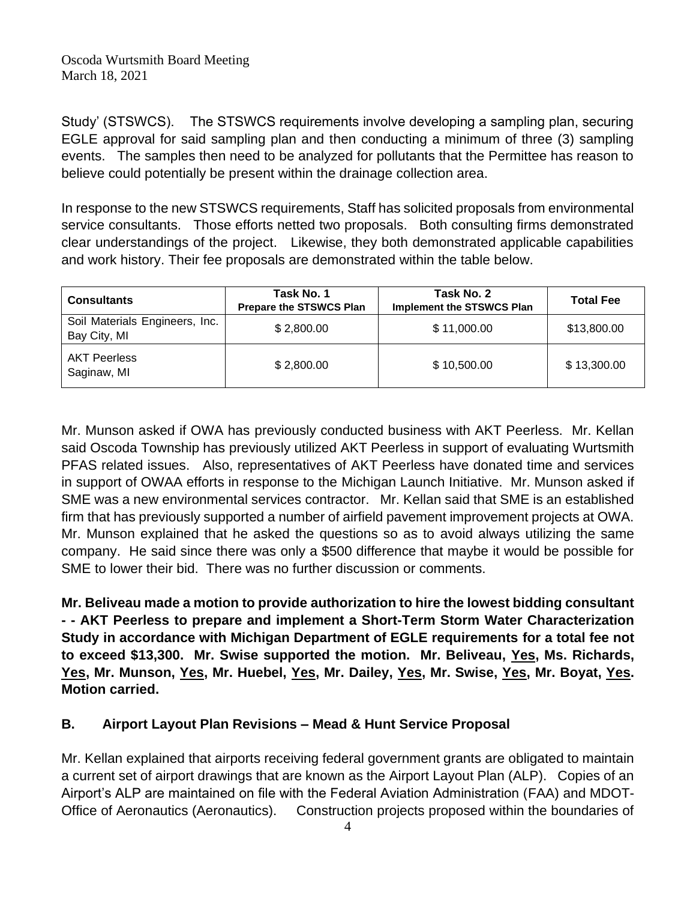Study' (STSWCS). The STSWCS requirements involve developing a sampling plan, securing EGLE approval for said sampling plan and then conducting a minimum of three (3) sampling events. The samples then need to be analyzed for pollutants that the Permittee has reason to believe could potentially be present within the drainage collection area.

In response to the new STSWCS requirements, Staff has solicited proposals from environmental service consultants. Those efforts netted two proposals. Both consulting firms demonstrated clear understandings of the project. Likewise, they both demonstrated applicable capabilities and work history. Their fee proposals are demonstrated within the table below.

| <b>Consultants</b>                             | Task No. 1<br><b>Prepare the STSWCS Plan</b> | Task No. 2<br><b>Implement the STSWCS Plan</b> | <b>Total Fee</b> |
|------------------------------------------------|----------------------------------------------|------------------------------------------------|------------------|
| Soil Materials Engineers, Inc.<br>Bay City, MI | \$2,800.00                                   | \$11,000.00                                    | \$13,800.00      |
| <b>AKT Peerless</b><br>Saginaw, MI             | \$2,800.00                                   | \$10,500.00                                    | \$13,300.00      |

Mr. Munson asked if OWA has previously conducted business with AKT Peerless. Mr. Kellan said Oscoda Township has previously utilized AKT Peerless in support of evaluating Wurtsmith PFAS related issues. Also, representatives of AKT Peerless have donated time and services in support of OWAA efforts in response to the Michigan Launch Initiative. Mr. Munson asked if SME was a new environmental services contractor. Mr. Kellan said that SME is an established firm that has previously supported a number of airfield pavement improvement projects at OWA. Mr. Munson explained that he asked the questions so as to avoid always utilizing the same company. He said since there was only a \$500 difference that maybe it would be possible for SME to lower their bid. There was no further discussion or comments.

**Mr. Beliveau made a motion to provide authorization to hire the lowest bidding consultant - - AKT Peerless to prepare and implement a Short-Term Storm Water Characterization Study in accordance with Michigan Department of EGLE requirements for a total fee not to exceed \$13,300. Mr. Swise supported the motion. Mr. Beliveau, Yes, Ms. Richards, Yes, Mr. Munson, Yes, Mr. Huebel, Yes, Mr. Dailey, Yes, Mr. Swise, Yes, Mr. Boyat, Yes. Motion carried.**

# **B. Airport Layout Plan Revisions – Mead & Hunt Service Proposal**

Mr. Kellan explained that airports receiving federal government grants are obligated to maintain a current set of airport drawings that are known as the Airport Layout Plan (ALP). Copies of an Airport's ALP are maintained on file with the Federal Aviation Administration (FAA) and MDOT-Office of Aeronautics (Aeronautics). Construction projects proposed within the boundaries of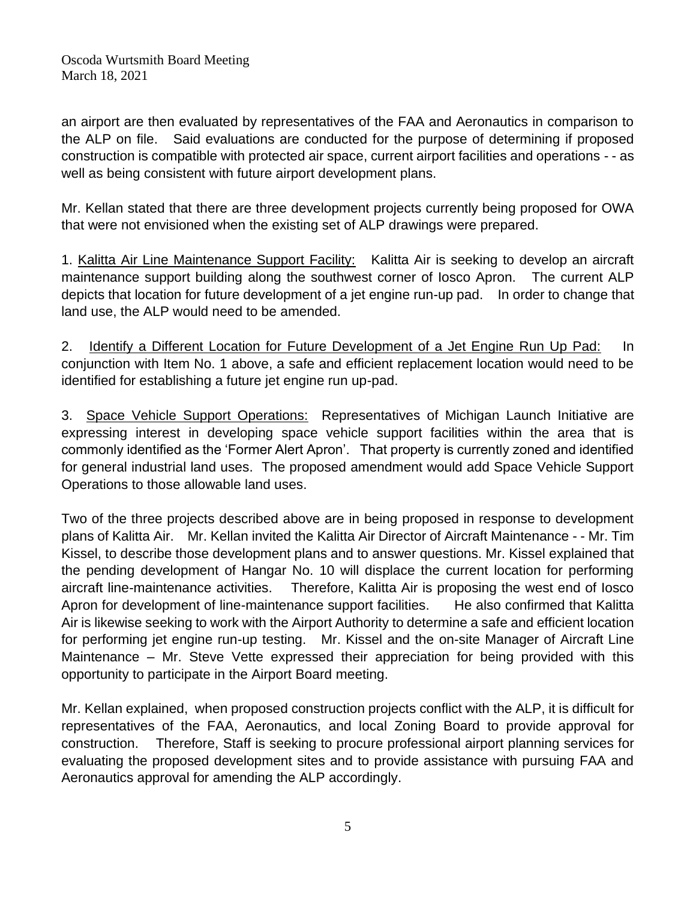an airport are then evaluated by representatives of the FAA and Aeronautics in comparison to the ALP on file. Said evaluations are conducted for the purpose of determining if proposed construction is compatible with protected air space, current airport facilities and operations - - as well as being consistent with future airport development plans.

Mr. Kellan stated that there are three development projects currently being proposed for OWA that were not envisioned when the existing set of ALP drawings were prepared.

1. Kalitta Air Line Maintenance Support Facility: Kalitta Air is seeking to develop an aircraft maintenance support building along the southwest corner of Iosco Apron. The current ALP depicts that location for future development of a jet engine run-up pad. In order to change that land use, the ALP would need to be amended.

2. Identify a Different Location for Future Development of a Jet Engine Run Up Pad: In conjunction with Item No. 1 above, a safe and efficient replacement location would need to be identified for establishing a future jet engine run up-pad.

3. Space Vehicle Support Operations: Representatives of Michigan Launch Initiative are expressing interest in developing space vehicle support facilities within the area that is commonly identified as the 'Former Alert Apron'. That property is currently zoned and identified for general industrial land uses. The proposed amendment would add Space Vehicle Support Operations to those allowable land uses.

Two of the three projects described above are in being proposed in response to development plans of Kalitta Air. Mr. Kellan invited the Kalitta Air Director of Aircraft Maintenance - - Mr. Tim Kissel, to describe those development plans and to answer questions. Mr. Kissel explained that the pending development of Hangar No. 10 will displace the current location for performing aircraft line-maintenance activities. Therefore, Kalitta Air is proposing the west end of Iosco Apron for development of line-maintenance support facilities. He also confirmed that Kalitta Air is likewise seeking to work with the Airport Authority to determine a safe and efficient location for performing jet engine run-up testing. Mr. Kissel and the on-site Manager of Aircraft Line Maintenance – Mr. Steve Vette expressed their appreciation for being provided with this opportunity to participate in the Airport Board meeting.

Mr. Kellan explained, when proposed construction projects conflict with the ALP, it is difficult for representatives of the FAA, Aeronautics, and local Zoning Board to provide approval for construction. Therefore, Staff is seeking to procure professional airport planning services for evaluating the proposed development sites and to provide assistance with pursuing FAA and Aeronautics approval for amending the ALP accordingly.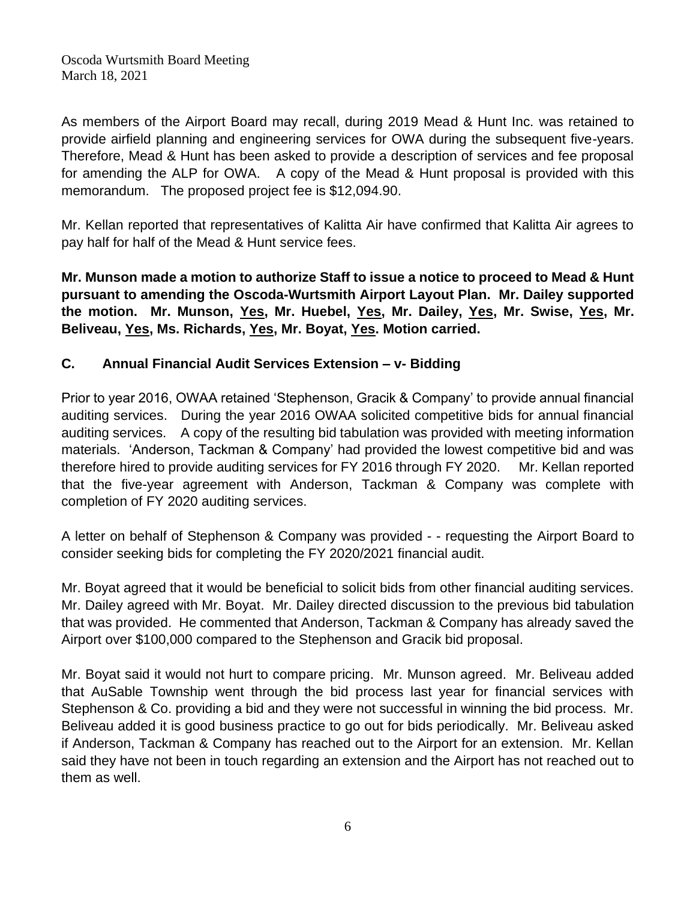As members of the Airport Board may recall, during 2019 Mead & Hunt Inc. was retained to provide airfield planning and engineering services for OWA during the subsequent five-years. Therefore, Mead & Hunt has been asked to provide a description of services and fee proposal for amending the ALP for OWA. A copy of the Mead & Hunt proposal is provided with this memorandum. The proposed project fee is \$12,094.90.

Mr. Kellan reported that representatives of Kalitta Air have confirmed that Kalitta Air agrees to pay half for half of the Mead & Hunt service fees.

**Mr. Munson made a motion to authorize Staff to issue a notice to proceed to Mead & Hunt pursuant to amending the Oscoda-Wurtsmith Airport Layout Plan. Mr. Dailey supported the motion. Mr. Munson, Yes, Mr. Huebel, Yes, Mr. Dailey, Yes, Mr. Swise, Yes, Mr. Beliveau, Yes, Ms. Richards, Yes, Mr. Boyat, Yes. Motion carried.** 

### **C. Annual Financial Audit Services Extension – v- Bidding**

Prior to year 2016, OWAA retained 'Stephenson, Gracik & Company' to provide annual financial auditing services. During the year 2016 OWAA solicited competitive bids for annual financial auditing services. A copy of the resulting bid tabulation was provided with meeting information materials. 'Anderson, Tackman & Company' had provided the lowest competitive bid and was therefore hired to provide auditing services for FY 2016 through FY 2020. Mr. Kellan reported that the five-year agreement with Anderson, Tackman & Company was complete with completion of FY 2020 auditing services.

A letter on behalf of Stephenson & Company was provided - - requesting the Airport Board to consider seeking bids for completing the FY 2020/2021 financial audit.

Mr. Boyat agreed that it would be beneficial to solicit bids from other financial auditing services. Mr. Dailey agreed with Mr. Boyat. Mr. Dailey directed discussion to the previous bid tabulation that was provided. He commented that Anderson, Tackman & Company has already saved the Airport over \$100,000 compared to the Stephenson and Gracik bid proposal.

Mr. Boyat said it would not hurt to compare pricing. Mr. Munson agreed. Mr. Beliveau added that AuSable Township went through the bid process last year for financial services with Stephenson & Co. providing a bid and they were not successful in winning the bid process. Mr. Beliveau added it is good business practice to go out for bids periodically. Mr. Beliveau asked if Anderson, Tackman & Company has reached out to the Airport for an extension. Mr. Kellan said they have not been in touch regarding an extension and the Airport has not reached out to them as well.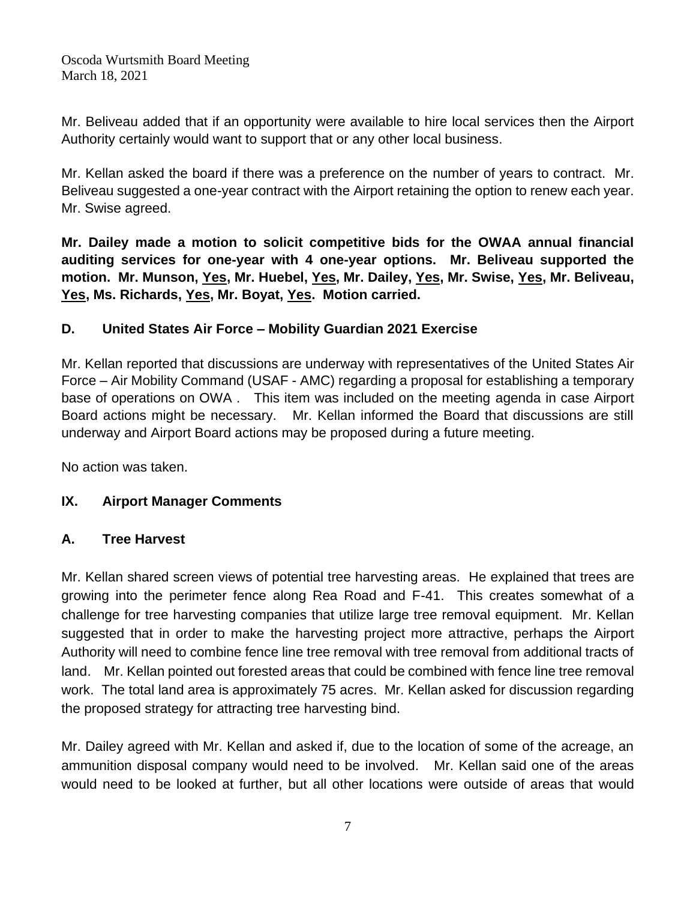Mr. Beliveau added that if an opportunity were available to hire local services then the Airport Authority certainly would want to support that or any other local business.

Mr. Kellan asked the board if there was a preference on the number of years to contract. Mr. Beliveau suggested a one-year contract with the Airport retaining the option to renew each year. Mr. Swise agreed.

**Mr. Dailey made a motion to solicit competitive bids for the OWAA annual financial auditing services for one-year with 4 one-year options. Mr. Beliveau supported the motion. Mr. Munson, Yes, Mr. Huebel, Yes, Mr. Dailey, Yes, Mr. Swise, Yes, Mr. Beliveau, Yes, Ms. Richards, Yes, Mr. Boyat, Yes. Motion carried.**

# **D. United States Air Force – Mobility Guardian 2021 Exercise**

Mr. Kellan reported that discussions are underway with representatives of the United States Air Force – Air Mobility Command (USAF - AMC) regarding a proposal for establishing a temporary base of operations on OWA . This item was included on the meeting agenda in case Airport Board actions might be necessary. Mr. Kellan informed the Board that discussions are still underway and Airport Board actions may be proposed during a future meeting.

No action was taken.

### **IX. Airport Manager Comments**

### **A. Tree Harvest**

Mr. Kellan shared screen views of potential tree harvesting areas. He explained that trees are growing into the perimeter fence along Rea Road and F-41. This creates somewhat of a challenge for tree harvesting companies that utilize large tree removal equipment. Mr. Kellan suggested that in order to make the harvesting project more attractive, perhaps the Airport Authority will need to combine fence line tree removal with tree removal from additional tracts of land. Mr. Kellan pointed out forested areas that could be combined with fence line tree removal work. The total land area is approximately 75 acres. Mr. Kellan asked for discussion regarding the proposed strategy for attracting tree harvesting bind.

Mr. Dailey agreed with Mr. Kellan and asked if, due to the location of some of the acreage, an ammunition disposal company would need to be involved. Mr. Kellan said one of the areas would need to be looked at further, but all other locations were outside of areas that would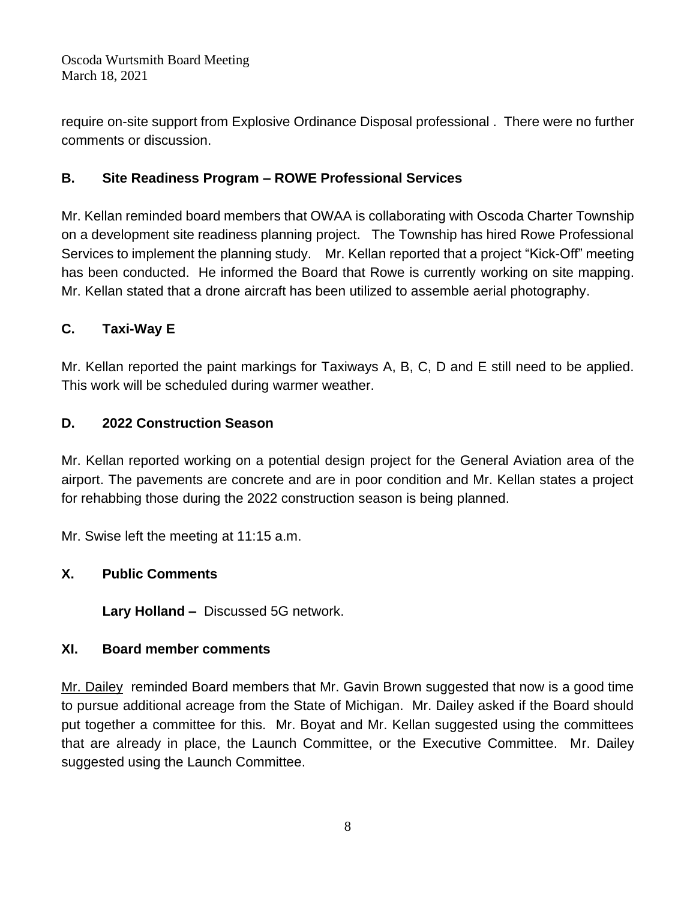require on-site support from Explosive Ordinance Disposal professional . There were no further comments or discussion.

## **B. Site Readiness Program – ROWE Professional Services**

Mr. Kellan reminded board members that OWAA is collaborating with Oscoda Charter Township on a development site readiness planning project. The Township has hired Rowe Professional Services to implement the planning study. Mr. Kellan reported that a project "Kick-Off" meeting has been conducted. He informed the Board that Rowe is currently working on site mapping. Mr. Kellan stated that a drone aircraft has been utilized to assemble aerial photography.

# **C. Taxi-Way E**

Mr. Kellan reported the paint markings for Taxiways A, B, C, D and E still need to be applied. This work will be scheduled during warmer weather.

### **D. 2022 Construction Season**

Mr. Kellan reported working on a potential design project for the General Aviation area of the airport. The pavements are concrete and are in poor condition and Mr. Kellan states a project for rehabbing those during the 2022 construction season is being planned.

Mr. Swise left the meeting at 11:15 a.m.

### **X. Public Comments**

**Lary Holland –** Discussed 5G network.

### **XI. Board member comments**

Mr. Dailey reminded Board members that Mr. Gavin Brown suggested that now is a good time to pursue additional acreage from the State of Michigan. Mr. Dailey asked if the Board should put together a committee for this. Mr. Boyat and Mr. Kellan suggested using the committees that are already in place, the Launch Committee, or the Executive Committee. Mr. Dailey suggested using the Launch Committee.